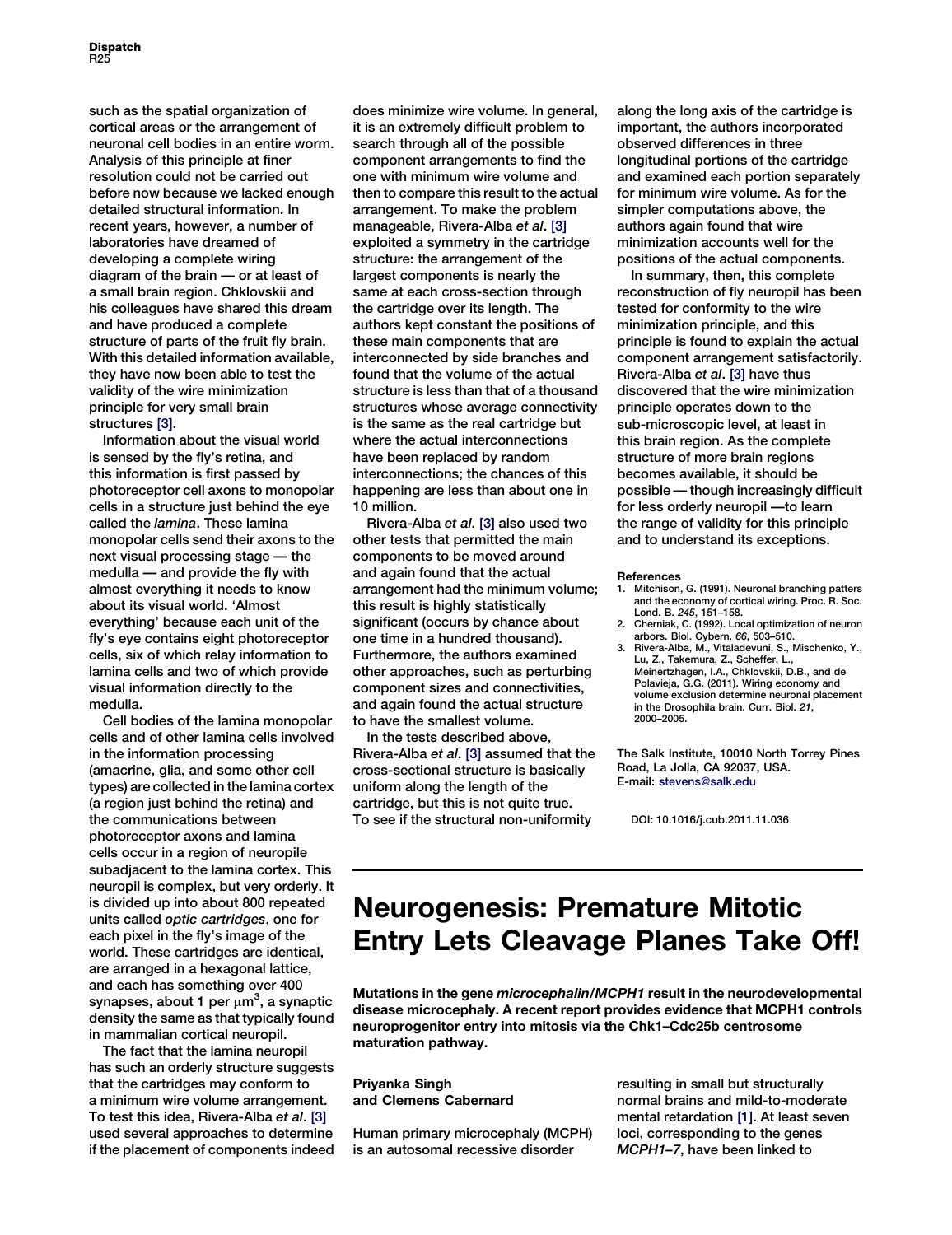such as the spatial organization of cortical areas or the arrangement of neuronal cell bodies in an entire worm. Analysis of this principle at finer resolution could not be carried out before now because we lacked enough detailed structural information. In recent years, however, a number of laboratories have dreamed of developing a complete wiring diagram of the brain — or at least of a small brain region. Chklovskii and his colleagues have shared this dream and have produced a complete structure of parts of the fruit fly brain. With this detailed information available, they have now been able to test the validity of the wire minimization principle for very small brain structures [3].

Information about the visual world is sensed by the fly's retina, and this information is first passed by photoreceptor cell axons to monopolar cells in a structure just behind the eye called the lamina. These lamina monopolar cells send their axons to the next visual processing stage — the medulla — and provide the fly with almost everything it needs to know about its visual world. 'Almost everything' because each unit of the fly's eye contains eight photoreceptor cells, six of which relay information to lamina cells and two of which provide visual information directly to the medulla.

Cell bodies of the lamina monopolar cells and of other lamina cells involved in the information processing (amacrine, glia, and some other cell types) are collected in the lamina cortex (a region just behind the retina) and the communications between photoreceptor axons and lamina cells occur in a region of neuropile subadjacent to the lamina cortex. This neuropil is complex, but very orderly. It is divided up into about 800 repeated units called optic cartridges, one for each pixel in the fly's image of the world. These cartridges are identical, are arranged in a hexagonal lattice, and each has something over 400 synapses, about 1 per  $\mu$ m<sup>3</sup>, a synaptic density the same as that typically found in mammalian cortical neuropil.

The fact that the lamina neuropil has such an orderly structure suggests that the cartridges may conform to a minimum wire volume arrangement. To test this idea, Rivera-Alba et al. [3] used several approaches to determine if the placement of components indeed does minimize wire volume. In general, it is an extremely difficult problem to search through all of the possible component arrangements to find the one with minimum wire volume and then to compare this result to the actual arrangement. To make the problem manageable, Rivera-Alba et al. [3] exploited a symmetry in the cartridge structure: the arrangement of the largest components is nearly the same at each cross-section through the cartridge over its length. The authors kept constant the positions of these main components that are interconnected by side branches and found that the volume of the actual structure is less than that of a thousand structures whose average connectivity is the same as the real cartridge but where the actual interconnections have been replaced by random interconnections; the chances of this happening are less than about one in 10 million.

Rivera-Alba et al. [3] also used two other tests that permitted the main components to be moved around and again found that the actual arrangement had the minimum volume; this result is highly statistically significant (occurs by chance about one time in a hundred thousand). Furthermore, the authors examined other approaches, such as perturbing component sizes and connectivities, and again found the actual structure to have the smallest volume.

In the tests described above, Rivera-Alba et al. [3] assumed that the cross-sectional structure is basically uniform along the length of the cartridge, but this is not quite true. To see if the structural non-uniformity

along the long axis of the cartridge is important, the authors incorporated observed differences in three longitudinal portions of the cartridge and examined each portion separately for minimum wire volume. As for the simpler computations above, the authors again found that wire minimization accounts well for the positions of the actual components.

In summary, then, this complete reconstruction of fly neuropil has been tested for conformity to the wire minimization principle, and this principle is found to explain the actual component arrangement satisfactorily. Rivera-Alba et al. [3] have thus discovered that the wire minimization principle operates down to the sub-microscopic level, at least in this brain region. As the complete structure of more brain regions becomes available, it should be possible — though increasingly difficult for less orderly neuropil —to learn the range of validity for this principle and to understand its exceptions.

## References

- 1. Mitchison, G. (1991). Neuronal branching patters and the economy of cortical wiring. Proc. R. Soc. Lond. B. 245, 151–158.
- 2. Cherniak, C. (1992). Local optimization of neuron arbors. Biol. Cybern. 66, 503–510.
- 3. Rivera-Alba, M., Vitaladevuni, S., Mischenko, Y., Lu, Z., Takemura, Z., Scheffer, L., Meinertzhagen, I.A., Chklovskii, D.B., and de Polavieja, G.G. (2011). Wiring economy and volume exclusion determine neuronal placement in the Drosophila brain. Curr. Biol. 21, 2000–2005.

The Salk Institute, 10010 North Torrey Pines Road, La Jolla, CA 92037, USA. E-mail: stevens@salk.edu

DOI: 10.1016/j.cub.2011.11.036

## Neurogenesis: Premature Mitotic Entry Lets Cleavage Planes Take Off!

Mutations in the gene microcephalin/MCPH1 result in the neurodevelopmental disease microcephaly. A recent report provides evidence that MCPH1 controls neuroprogenitor entry into mitosis via the Chk1–Cdc25b centrosome maturation pathway.

Priyanka Singh and Clemens Cabernard

Human primary microcephaly (MCPH) is an autosomal recessive disorder

resulting in small but structurally normal brains and mild-to-moderate mental retardation [1]. At least seven loci, corresponding to the genes MCPH1–7, have been linked to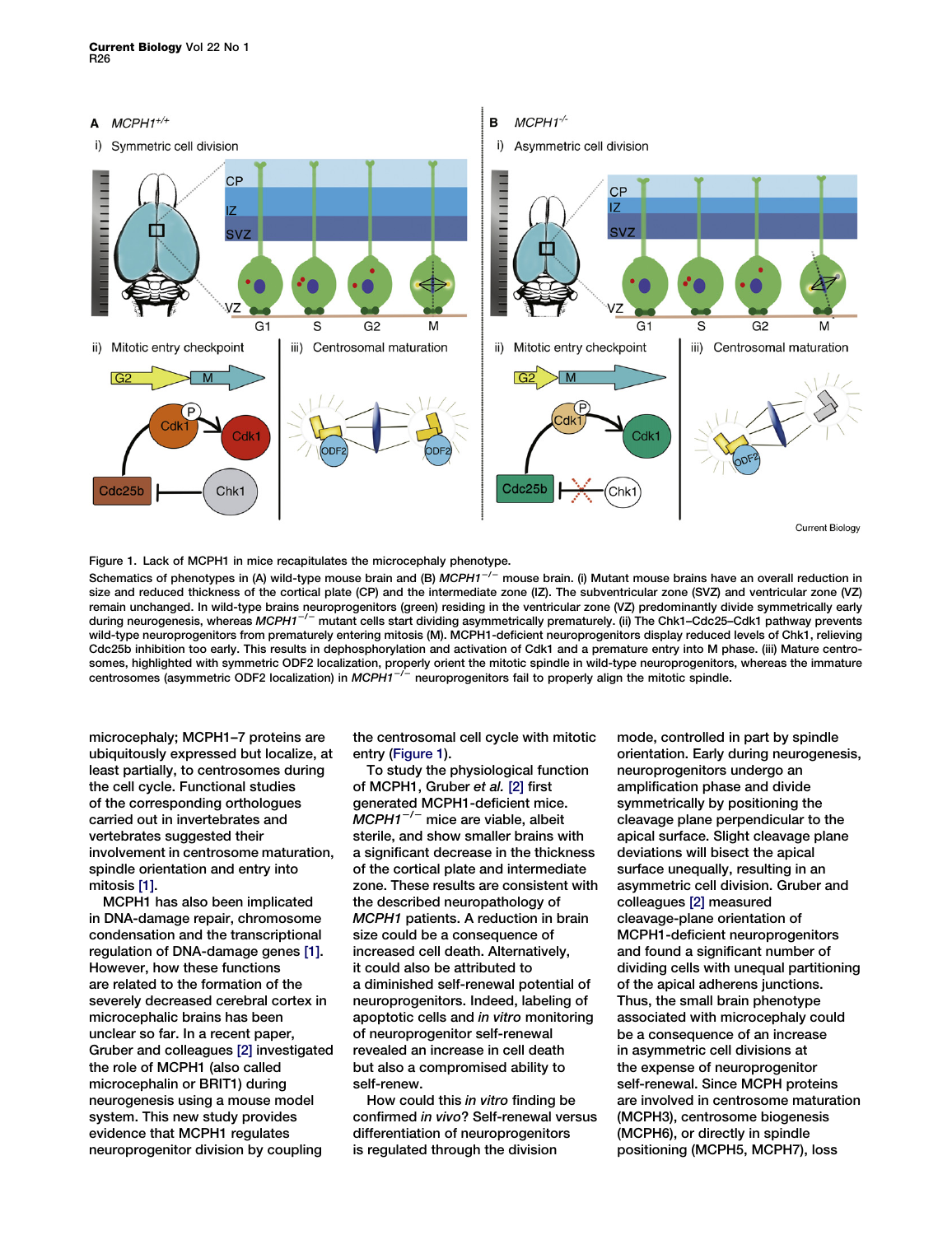

Figure 1. Lack of MCPH1 in mice recapitulates the microcephaly phenotype.

Schematics of phenotypes in (A) wild-type mouse brain and (B)  $MCPH1^{-/-}$  mouse brain. (i) Mutant mouse brains have an overall reduction in size and reduced thickness of the cortical plate (CP) and the intermediate zone (IZ). The subventricular zone (SVZ) and ventricular zone (VZ) remain unchanged. In wild-type brains neuroprogenitors (green) residing in the ventricular zone (VZ) predominantly divide symmetrically early during neurogenesis, whereas MCPH1<sup>-/-</sup> mutant cells start dividing asymmetrically prematurely. (ii) The Chk1-Cdc25-Cdk1 pathway prevents wild-type neuroprogenitors from prematurely entering mitosis (M). MCPH1-deficient neuroprogenitors display reduced levels of Chk1, relieving Cdc25b inhibition too early. This results in dephosphorylation and activation of Cdk1 and a premature entry into M phase. (iii) Mature centrosomes, highlighted with symmetric ODF2 localization, properly orient the mitotic spindle in wild-type neuroprogenitors, whereas the immature entrosomes (asymmetric ODF2 localization) in MCPH1<sup>-/-</sup> neuroprogenitors fail to properly align the mitotic spindle.

microcephaly; MCPH1–7 proteins are ubiquitously expressed but localize, at least partially, to centrosomes during the cell cycle. Functional studies of the corresponding orthologues carried out in invertebrates and vertebrates suggested their involvement in centrosome maturation, spindle orientation and entry into mitosis [1].

MCPH1 has also been implicated in DNA-damage repair, chromosome condensation and the transcriptional regulation of DNA-damage genes [1]. However, how these functions are related to the formation of the severely decreased cerebral cortex in microcephalic brains has been unclear so far. In a recent paper, Gruber and colleagues [2] investigated the role of MCPH1 (also called microcephalin or BRIT1) during neurogenesis using a mouse model system. This new study provides evidence that MCPH1 regulates neuroprogenitor division by coupling

the centrosomal cell cycle with mitotic entry (Figure 1).

To study the physiological function of MCPH1, Gruber et al. [2] first generated MCPH1-deficient mice.  $MCPH1^{-/-}$  mice are viable, albeit sterile, and show smaller brains with a significant decrease in the thickness of the cortical plate and intermediate zone. These results are consistent with the described neuropathology of MCPH1 patients. A reduction in brain size could be a consequence of increased cell death. Alternatively, it could also be attributed to a diminished self-renewal potential of neuroprogenitors. Indeed, labeling of apoptotic cells and in vitro monitoring of neuroprogenitor self-renewal revealed an increase in cell death but also a compromised ability to self-renew.

How could this in vitro finding be confirmed in vivo? Self-renewal versus differentiation of neuroprogenitors is regulated through the division

mode, controlled in part by spindle orientation. Early during neurogenesis, neuroprogenitors undergo an amplification phase and divide symmetrically by positioning the cleavage plane perpendicular to the apical surface. Slight cleavage plane deviations will bisect the apical surface unequally, resulting in an asymmetric cell division. Gruber and colleagues [2] measured cleavage-plane orientation of MCPH1-deficient neuroprogenitors and found a significant number of dividing cells with unequal partitioning of the apical adherens junctions. Thus, the small brain phenotype associated with microcephaly could be a consequence of an increase in asymmetric cell divisions at the expense of neuroprogenitor self-renewal. Since MCPH proteins are involved in centrosome maturation (MCPH3), centrosome biogenesis (MCPH6), or directly in spindle positioning (MCPH5, MCPH7), loss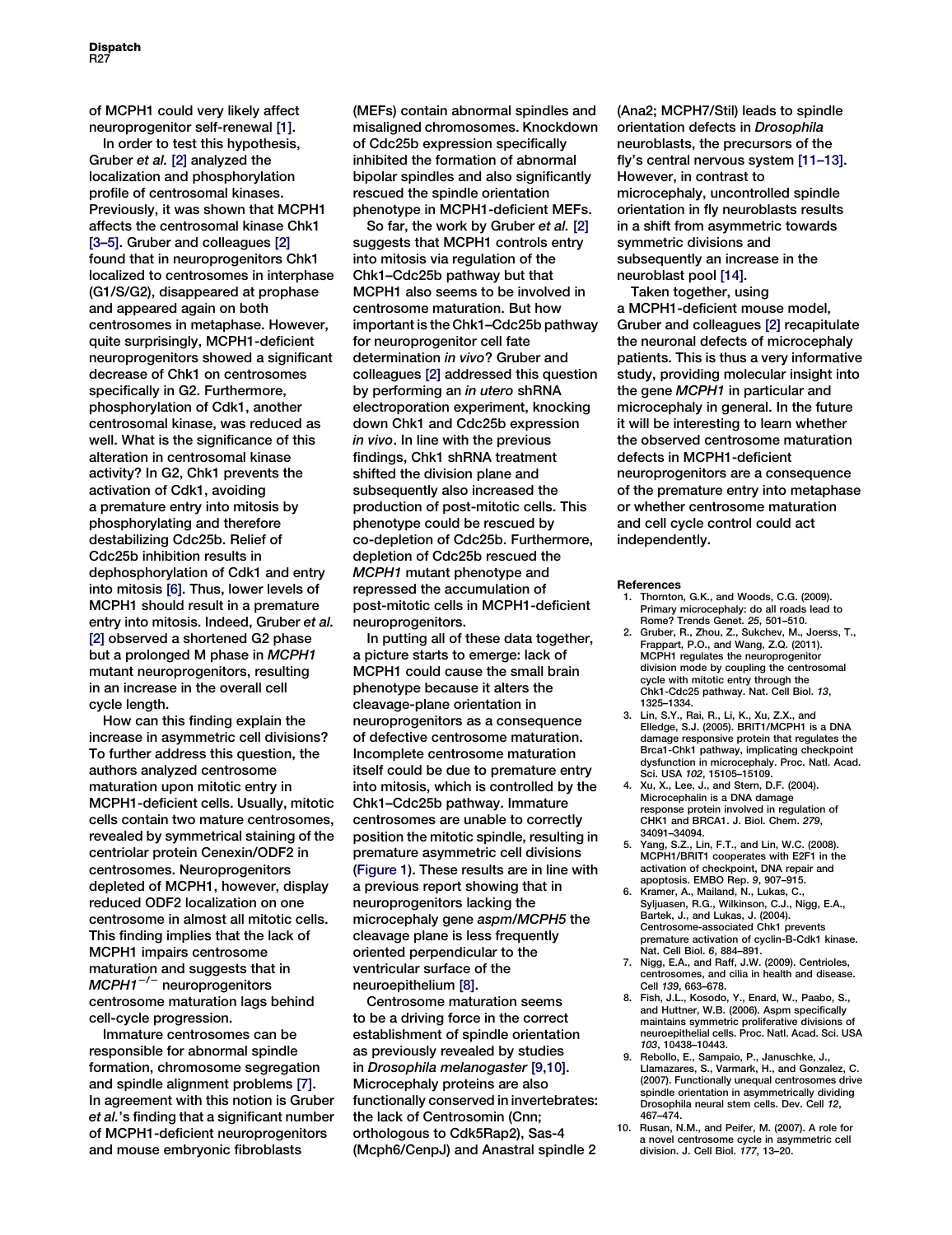of MCPH1 could very likely affect neuroprogenitor self-renewal [1].

In order to test this hypothesis, Gruber et al. [2] analyzed the localization and phosphorylation profile of centrosomal kinases. Previously, it was shown that MCPH1 affects the centrosomal kinase Chk1 [3–5]. Gruber and colleagues [2] found that in neuroprogenitors Chk1 localized to centrosomes in interphase (G1/S/G2), disappeared at prophase and appeared again on both centrosomes in metaphase. However, quite surprisingly, MCPH1-deficient neuroprogenitors showed a significant decrease of Chk1 on centrosomes specifically in G2. Furthermore, phosphorylation of Cdk1, another centrosomal kinase, was reduced as well. What is the significance of this alteration in centrosomal kinase activity? In G2, Chk1 prevents the activation of Cdk1, avoiding a premature entry into mitosis by phosphorylating and therefore destabilizing Cdc25b. Relief of Cdc25b inhibition results in dephosphorylation of Cdk1 and entry into mitosis [6]. Thus, lower levels of MCPH1 should result in a premature entry into mitosis. Indeed, Gruber et al. [2] observed a shortened G2 phase but a prolonged M phase in MCPH1 mutant neuroprogenitors, resulting in an increase in the overall cell cycle length.

How can this finding explain the increase in asymmetric cell divisions? To further address this question, the authors analyzed centrosome maturation upon mitotic entry in MCPH1-deficient cells. Usually, mitotic cells contain two mature centrosomes, revealed by symmetrical staining of the centriolar protein Cenexin/ODF2 in centrosomes. Neuroprogenitors depleted of MCPH1, however, display reduced ODF2 localization on one centrosome in almost all mitotic cells. This finding implies that the lack of MCPH1 impairs centrosome maturation and suggests that in  $MCPH1^{-/-}$  neuroprogenitors centrosome maturation lags behind cell-cycle progression.

Immature centrosomes can be responsible for abnormal spindle formation, chromosome segregation and spindle alignment problems [7]. In agreement with this notion is Gruber et al.'s finding that a significant number of MCPH1-deficient neuroprogenitors and mouse embryonic fibroblasts

(MEFs) contain abnormal spindles and misaligned chromosomes. Knockdown of Cdc25b expression specifically inhibited the formation of abnormal bipolar spindles and also significantly rescued the spindle orientation phenotype in MCPH1-deficient MEFs.

So far, the work by Gruber et al. [2] suggests that MCPH1 controls entry into mitosis via regulation of the Chk1–Cdc25b pathway but that MCPH1 also seems to be involved in centrosome maturation. But how important is the Chk1–Cdc25b pathway for neuroprogenitor cell fate determination in vivo? Gruber and colleagues [2] addressed this question by performing an in utero shRNA electroporation experiment, knocking down Chk1 and Cdc25b expression in vivo. In line with the previous findings, Chk1 shRNA treatment shifted the division plane and subsequently also increased the production of post-mitotic cells. This phenotype could be rescued by co-depletion of Cdc25b. Furthermore, depletion of Cdc25b rescued the MCPH1 mutant phenotype and repressed the accumulation of post-mitotic cells in MCPH1-deficient neuroprogenitors.

In putting all of these data together, a picture starts to emerge: lack of MCPH1 could cause the small brain phenotype because it alters the cleavage-plane orientation in neuroprogenitors as a consequence of defective centrosome maturation. Incomplete centrosome maturation itself could be due to premature entry into mitosis, which is controlled by the Chk1–Cdc25b pathway. Immature centrosomes are unable to correctly position the mitotic spindle, resulting in premature asymmetric cell divisions (Figure 1). These results are in line with a previous report showing that in neuroprogenitors lacking the microcephaly gene aspm/MCPH5 the cleavage plane is less frequently oriented perpendicular to the ventricular surface of the neuroepithelium [8].

Centrosome maturation seems to be a driving force in the correct establishment of spindle orientation as previously revealed by studies in Drosophila melanogaster [9,10]. Microcephaly proteins are also functionally conserved in invertebrates: the lack of Centrosomin (Cnn; orthologous to Cdk5Rap2), Sas-4 (Mcph6/CenpJ) and Anastral spindle 2

(Ana2; MCPH7/Stil) leads to spindle orientation defects in Drosophila neuroblasts, the precursors of the fly's central nervous system [11–13]. However, in contrast to microcephaly, uncontrolled spindle orientation in fly neuroblasts results in a shift from asymmetric towards symmetric divisions and subsequently an increase in the neuroblast pool [14].

Taken together, using a MCPH1-deficient mouse model, Gruber and colleagues [2] recapitulate the neuronal defects of microcephaly patients. This is thus a very informative study, providing molecular insight into the gene MCPH1 in particular and microcephaly in general. In the future it will be interesting to learn whether the observed centrosome maturation defects in MCPH1-deficient neuroprogenitors are a consequence of the premature entry into metaphase or whether centrosome maturation and cell cycle control could act independently.

## References

- 1. Thornton, G.K., and Woods, C.G. (2009). Primary microcephaly: do all roads lead to Rome? Trends Genet. 25, 501–510.
- 2. Gruber, R., Zhou, Z., Sukchev, M., Joerss, T., Frappart, P.O., and Wang, Z.Q. (2011). MCPH1 regulates the neuroprogenitor division mode by coupling the centrosomal cycle with mitotic entry through the Chk1-Cdc25 pathway. Nat. Cell Biol. 13, 1325–1334.
- 3. Lin, S.Y., Rai, R., Li, K., Xu, Z.X., and Elledge, S.J. (2005). BRIT1/MCPH1 is a DNA damage responsive protein that regulates the Brca1-Chk1 pathway, implicating checkpoint dysfunction in microcephaly. Proc. Natl. Acad. Sci. USA 102, 15105–15109.
- Xu, X., Lee, J., and Stern, D.F. (2004). Microcephalin is a DNA damage response protein involved in regulation of CHK1 and BRCA1. J. Biol. Chem. 279, 34091–34094.
- 5. Yang, S.Z., Lin, F.T., and Lin, W.C. (2008). MCPH1/BRIT1 cooperates with E2F1 in the activation of checkpoint, DNA repair and apoptosis. EMBO Rep. 9, 907–915.
- 6. Kramer, A., Mailand, N., Lukas, C. Syljuasen, R.G., Wilkinson, C.J., Nigg, E.A., Bartek, J., and Lukas, J. (2004). Centrosome-associated Chk1 prevents premature activation of cyclin-B-Cdk1 kinase. Nat. Cell Biol. 6, 884–891.
- 7. Nigg, E.A., and Raff, J.W. (2009). Centrioles, centrosomes, and cilia in health and disease. Cell 139, 663–678.
- 8. Fish, J.L., Kosodo, Y., Enard, W., Paabo, S., and Huttner, W.B. (2006). Aspm specifically maintains symmetric proliferative divisions of neuroepithelial cells. Proc. Natl. Acad. Sci. USA 103, 10438–10443.
- 9. Rebollo, E., Sampaio, P., Januschke, J., Llamazares, S., Varmark, H., and Gonzalez, C. (2007). Functionally unequal centrosomes drive spindle orientation in asymmetrically dividing Drosophila neural stem cells. Dev. Cell 12, 467–474.
- 10. Rusan, N.M., and Peifer, M. (2007). A role for a novel centrosome cycle in asymmetric cell division. J. Cell Biol. 177, 13–20.